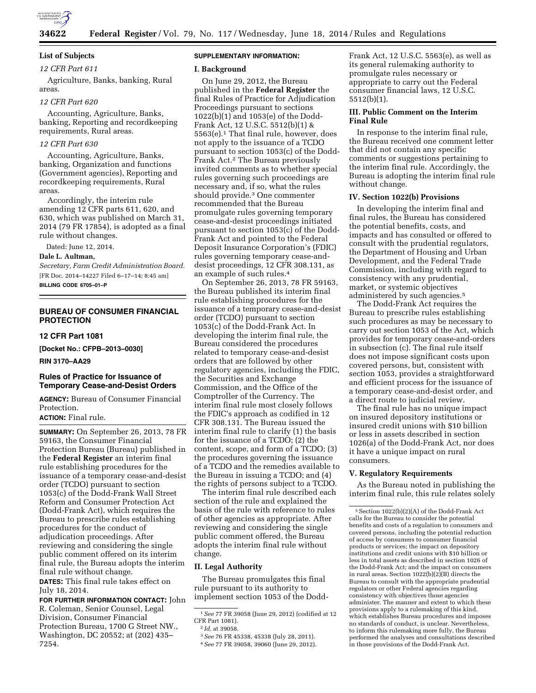

# **List of Subjects**

## *12 CFR Part 611*

Agriculture, Banks, banking, Rural areas.

# *12 CFR Part 620*

Accounting, Agriculture, Banks, banking, Reporting and recordkeeping requirements, Rural areas.

### *12 CFR Part 630*

Accounting, Agriculture, Banks, banking, Organization and functions (Government agencies), Reporting and recordkeeping requirements, Rural areas.

Accordingly, the interim rule amending 12 CFR parts 611, 620, and 630, which was published on March 31, 2014 (79 FR 17854), is adopted as a final rule without changes.

Dated: June 12, 2014.

#### **Dale L. Aultman,**

*Secretary, Farm Credit Administration Board.*  [FR Doc. 2014–14227 Filed 6–17–14; 8:45 am] **BILLING CODE 6705–01–P** 

## **BUREAU OF CONSUMER FINANCIAL PROTECTION**

**12 CFR Part 1081** 

**[Docket No.: CFPB–2013–0030]** 

#### **RIN 3170–AA29**

## **Rules of Practice for Issuance of Temporary Cease-and-Desist Orders**

**AGENCY:** Bureau of Consumer Financial Protection.

# **ACTION:** Final rule.

**SUMMARY:** On September 26, 2013, 78 FR 59163, the Consumer Financial Protection Bureau (Bureau) published in the **Federal Register** an interim final rule establishing procedures for the issuance of a temporary cease-and-desist order (TCDO) pursuant to section 1053(c) of the Dodd-Frank Wall Street Reform and Consumer Protection Act (Dodd-Frank Act), which requires the Bureau to prescribe rules establishing procedures for the conduct of adjudication proceedings. After reviewing and considering the single public comment offered on its interim final rule, the Bureau adopts the interim final rule without change.

**DATES:** This final rule takes effect on July 18, 2014.

**FOR FURTHER INFORMATION CONTACT:** John R. Coleman, Senior Counsel, Legal Division, Consumer Financial Protection Bureau, 1700 G Street NW., Washington, DC 20552; at (202) 435– 7254.

## **SUPPLEMENTARY INFORMATION:**

#### **I. Background**

On June 29, 2012, the Bureau published in the **Federal Register** the final Rules of Practice for Adjudication Proceedings pursuant to sections 1022(b)(1) and 1053(e) of the Dodd-Frank Act, 12 U.S.C. 5512(b)(1) & 5563(e).1 That final rule, however, does not apply to the issuance of a TCDO pursuant to section 1053(c) of the Dodd-Frank Act.2 The Bureau previously invited comments as to whether special rules governing such proceedings are necessary and, if so, what the rules should provide.3 One commenter recommended that the Bureau promulgate rules governing temporary cease-and-desist proceedings initiated pursuant to section 1053(c) of the Dodd-Frank Act and pointed to the Federal Deposit Insurance Corporation's (FDIC) rules governing temporary cease-anddesist proceedings, 12 CFR 308.131, as an example of such rules.4

On September 26, 2013, 78 FR 59163, the Bureau published its interim final rule establishing procedures for the issuance of a temporary cease-and-desist order (TCDO) pursuant to section 1053(c) of the Dodd-Frank Act. In developing the interim final rule, the Bureau considered the procedures related to temporary cease-and-desist orders that are followed by other regulatory agencies, including the FDIC, the Securities and Exchange Commission, and the Office of the Comptroller of the Currency. The interim final rule most closely follows the FDIC's approach as codified in 12 CFR 308.131. The Bureau issued the interim final rule to clarify (1) the basis for the issuance of a TCDO; (2) the content, scope, and form of a TCDO; (3) the procedures governing the issuance of a TCDO and the remedies available to the Bureau in issuing a TCDO; and (4) the rights of persons subject to a TCDO.

The interim final rule described each section of the rule and explained the basis of the rule with reference to rules of other agencies as appropriate. After reviewing and considering the single public comment offered, the Bureau adopts the interim final rule without change.

### **II. Legal Authority**

The Bureau promulgates this final rule pursuant to its authority to implement section 1053 of the Dodd-

Frank Act, 12 U.S.C. 5563(e), as well as its general rulemaking authority to promulgate rules necessary or appropriate to carry out the Federal consumer financial laws, 12 U.S.C. 5512(b)(1).

## **III. Public Comment on the Interim Final Rule**

In response to the interim final rule, the Bureau received one comment letter that did not contain any specific comments or suggestions pertaining to the interim final rule. Accordingly, the Bureau is adopting the interim final rule without change.

### **IV. Section 1022(b) Provisions**

In developing the interim final and final rules, the Bureau has considered the potential benefits, costs, and impacts and has consulted or offered to consult with the prudential regulators, the Department of Housing and Urban Development, and the Federal Trade Commission, including with regard to consistency with any prudential, market, or systemic objectives administered by such agencies.5

The Dodd-Frank Act requires the Bureau to prescribe rules establishing such procedures as may be necessary to carry out section 1053 of the Act, which provides for temporary cease-and-orders in subsection (c). The final rule itself does not impose significant costs upon covered persons, but, consistent with section 1053, provides a straightforward and efficient process for the issuance of a temporary cease-and-desist order, and a direct route to judicial review.

The final rule has no unique impact on insured depository institutions or insured credit unions with \$10 billion or less in assets described in section 1026(a) of the Dodd-Frank Act, nor does it have a unique impact on rural consumers.

## **V. Regulatory Requirements**

As the Bureau noted in publishing the interim final rule, this rule relates solely

<sup>1</sup>*See* 77 FR 39058 (June 29, 2012) (codified at 12 CFR Part 1081).

<sup>2</sup> *Id.* at 39058.

<sup>3</sup>*See* 76 FR 45338, 45338 (July 28, 2011).

<sup>4</sup>*See* 77 FR 39058, 39060 (June 29, 2012).

 $^5$  Section 1022(b)(2)(A) of the Dodd-Frank Act calls for the Bureau to consider the potential benefits and costs of a regulation to consumers and covered persons, including the potential reduction of access by consumers to consumer financial products or services; the impact on depository institutions and credit unions with \$10 billion or less in total assets as described in section 1026 of the Dodd-Frank Act; and the impact on consumers in rural areas. Section  $1022(b)(2)(B)$  directs the Bureau to consult with the appropriate prudential regulators or other Federal agencies regarding consistency with objectives those agencies administer. The manner and extent to which these provisions apply to a rulemaking of this kind, which establishes Bureau procedures and imposes no standards of conduct, is unclear. Nevertheless, to inform this rulemaking more fully, the Bureau performed the analyses and consultations described in those provisions of the Dodd-Frank Act.